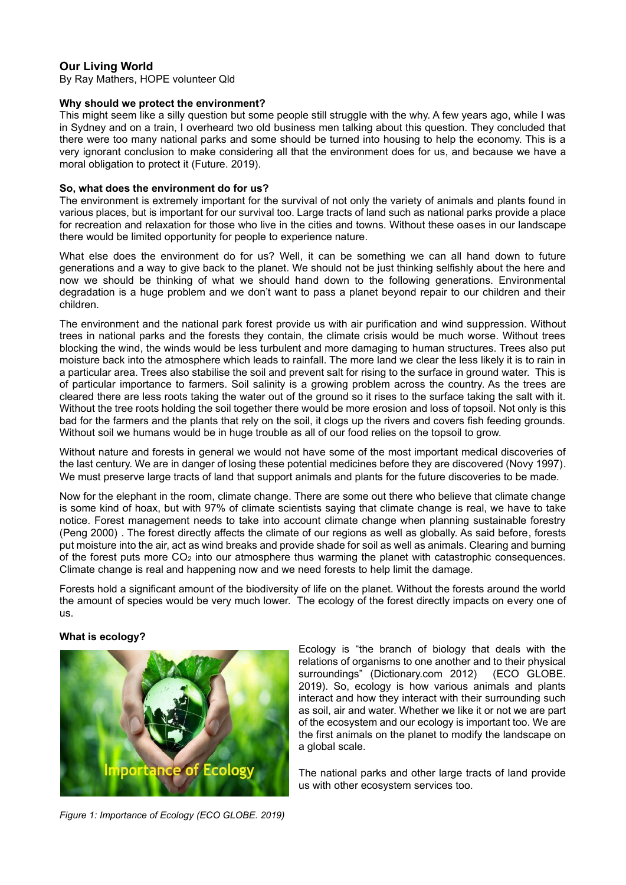# **Our Living World**

By Ray Mathers, HOPE volunteer Qld

### **Why should we protect the environment?**

This might seem like a silly question but some people still struggle with the why. A few years ago, while I was in Sydney and on a train, I overheard two old business men talking about this question. They concluded that there were too many national parks and some should be turned into housing to help the economy. This is a very ignorant conclusion to make considering all that the environment does for us, and because we have a moral obligation to protect it (Future. 2019).

### **So, what does the environment do for us?**

The environment is extremely important for the survival of not only the variety of animals and plants found in various places, but is important for our survival too. Large tracts of land such as national parks provide a place for recreation and relaxation for those who live in the cities and towns. Without these oases in our landscape there would be limited opportunity for people to experience nature.

What else does the environment do for us? Well, it can be something we can all hand down to future generations and a way to give back to the planet. We should not be just thinking selfishly about the here and now we should be thinking of what we should hand down to the following generations. Environmental degradation is a huge problem and we don't want to pass a planet beyond repair to our children and their children.

The environment and the national park forest provide us with air purification and wind suppression. Without trees in national parks and the forests they contain, the climate crisis would be much worse. Without trees blocking the wind, the winds would be less turbulent and more damaging to human structures. Trees also put moisture back into the atmosphere which leads to rainfall. The more land we clear the less likely it is to rain in a particular area. Trees also stabilise the soil and prevent salt for rising to the surface in ground water. This is of particular importance to farmers. Soil salinity is a growing problem across the country. As the trees are cleared there are less roots taking the water out of the ground so it rises to the surface taking the salt with it. Without the tree roots holding the soil together there would be more erosion and loss of topsoil. Not only is this bad for the farmers and the plants that rely on the soil, it clogs up the rivers and covers fish feeding grounds. Without soil we humans would be in huge trouble as all of our food relies on the topsoil to grow.

Without nature and forests in general we would not have some of the most important medical discoveries of the last century. We are in danger of losing these potential medicines before they are discovered (Novy 1997). We must preserve large tracts of land that support animals and plants for the future discoveries to be made.

Now for the elephant in the room, climate change. There are some out there who believe that climate change is some kind of hoax, but with 97% of climate scientists saying that climate change is real, we have to take notice. Forest management needs to take into account climate change when planning sustainable forestry (Peng 2000) . The forest directly affects the climate of our regions as well as globally. As said before, forests put moisture into the air, act as wind breaks and provide shade for soil as well as animals. Clearing and burning of the forest puts more CO<sup>2</sup> into our atmosphere thus warming the planet with catastrophic consequences. Climate change is real and happening now and we need forests to help limit the damage.

Forests hold a significant amount of the biodiversity of life on the planet. Without the forests around the world the amount of species would be very much lower. The ecology of the forest directly impacts on every one of us.

# **What is ecology?**



Ecology is "the branch of biology that deals with the relations of organisms to one another and to their physical<br>surroundings" (Dictionary.com 2012) (ECO GLOBE. surroundings" (Dictionary.com 2012) 2019). So, ecology is how various animals and plants interact and how they interact with their surrounding such as soil, air and water. Whether we like it or not we are part of the ecosystem and our ecology is important too. We are the first animals on the planet to modify the landscape on a global scale.

The national parks and other large tracts of land provide us with other ecosystem services too.

*Figure 1: Importance of Ecology (ECO GLOBE. 2019)*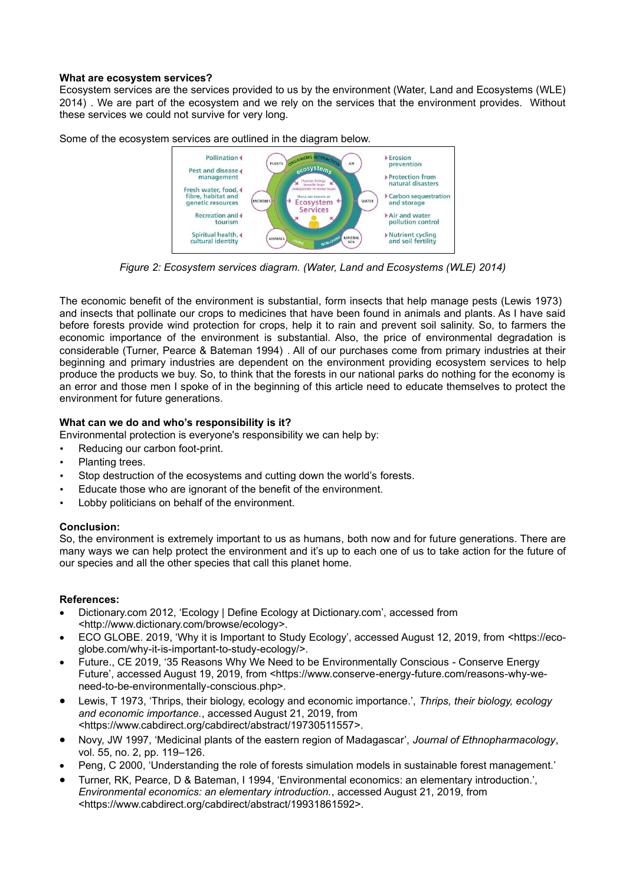## **What are ecosystem services?**

Ecosystem services are the services provided to us by the environment (Water, Land and Ecosystems (WLE) 2014) . We are part of the ecosystem and we rely on the services that the environment provides. Without these services we could not survive for very long.



Some of the ecosystem services are outlined in the diagram below.

*Figure 2: Ecosystem services diagram. (Water, Land and Ecosystems (WLE) 2014)*

The economic benefit of the environment is substantial, form insects that help manage pests (Lewis 1973) and insects that pollinate our crops to medicines that have been found in animals and plants. As I have said before forests provide wind protection for crops, help it to rain and prevent soil salinity. So, to farmers the economic importance of the environment is substantial. Also, the price of environmental degradation is considerable (Turner, Pearce & Bateman 1994) . All of our purchases come from primary industries at their beginning and primary industries are dependent on the environment providing ecosystem services to help produce the products we buy. So, to think that the forests in our national parks do nothing for the economy is an error and those men I spoke of in the beginning of this article need to educate themselves to protect the environment for future generations.

# **What can we do and who's responsibility is it?**

Environmental protection is everyone's responsibility we can help by:

- Reducing our carbon foot-print.
- Planting trees.
- Stop destruction of the ecosystems and cutting down the world's forests.
- Educate those who are ignorant of the benefit of the environment.
- Lobby politicians on behalf of the environment.

# **Conclusion:**

So, the environment is extremely important to us as humans, both now and for future generations. There are many ways we can help protect the environment and it's up to each one of us to take action for the future of our species and all the other species that call this planet home.

# **References:**

- Dictionary.com 2012, 'Ecology | Define Ecology at Dictionary.com', accessed from <http://www.dictionary.com/browse/ecology>.
- ECO GLOBE. 2019, 'Why it is Important to Study Ecology', accessed August 12, 2019, from <https://ecoglobe.com/why-it-is-important-to-study-ecology/>.
- Future., CE 2019, '35 Reasons Why We Need to be Environmentally Conscious Conserve Energy Future', accessed August 19, 2019, from <https://www.conserve-energy-future.com/reasons-why-weneed-to-be-environmentally-conscious.php>.
- Lewis, T 1973, 'Thrips, their biology, ecology and economic importance.', *Thrips, their biology, ecology and economic importance.*, accessed August 21, 2019, from <https://www.cabdirect.org/cabdirect/abstract/19730511557>.
- Novy, JW 1997, 'Medicinal plants of the eastern region of Madagascar', *Journal of Ethnopharmacology*, vol. 55, no. 2, pp. 119–126.
- Peng, C 2000, 'Understanding the role of forests simulation models in sustainable forest management.'
- Turner, RK, Pearce, D & Bateman, I 1994, 'Environmental economics: an elementary introduction.', *Environmental economics: an elementary introduction.*, accessed August 21, 2019, from <https://www.cabdirect.org/cabdirect/abstract/19931861592>.